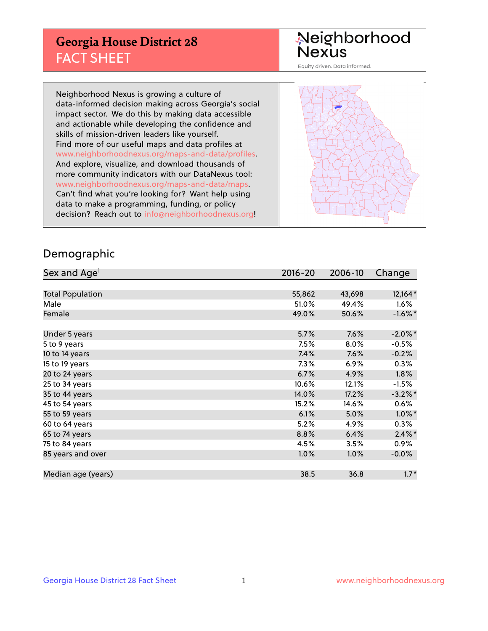## **Georgia House District 28** FACT SHEET

# Neighborhood<br>Nexus

Equity driven. Data informed.

Neighborhood Nexus is growing a culture of data-informed decision making across Georgia's social impact sector. We do this by making data accessible and actionable while developing the confidence and skills of mission-driven leaders like yourself. Find more of our useful maps and data profiles at www.neighborhoodnexus.org/maps-and-data/profiles. And explore, visualize, and download thousands of more community indicators with our DataNexus tool: www.neighborhoodnexus.org/maps-and-data/maps. Can't find what you're looking for? Want help using data to make a programming, funding, or policy decision? Reach out to [info@neighborhoodnexus.org!](mailto:info@neighborhoodnexus.org)



### Demographic

| Sex and Age <sup>1</sup> | $2016 - 20$ | 2006-10 | Change     |
|--------------------------|-------------|---------|------------|
|                          |             |         |            |
| <b>Total Population</b>  | 55,862      | 43,698  | $12,164*$  |
| Male                     | 51.0%       | 49.4%   | 1.6%       |
| Female                   | 49.0%       | 50.6%   | $-1.6\%$ * |
|                          |             |         |            |
| Under 5 years            | 5.7%        | 7.6%    | $-2.0\%$ * |
| 5 to 9 years             | 7.5%        | 8.0%    | $-0.5\%$   |
| 10 to 14 years           | 7.4%        | 7.6%    | $-0.2%$    |
| 15 to 19 years           | 7.3%        | 6.9%    | 0.3%       |
| 20 to 24 years           | 6.7%        | 4.9%    | 1.8%       |
| 25 to 34 years           | 10.6%       | 12.1%   | $-1.5%$    |
| 35 to 44 years           | 14.0%       | 17.2%   | $-3.2\%$ * |
| 45 to 54 years           | 15.2%       | 14.6%   | $0.6\%$    |
| 55 to 59 years           | 6.1%        | 5.0%    | $1.0\%$ *  |
| 60 to 64 years           | 5.2%        | 4.9%    | $0.3\%$    |
| 65 to 74 years           | 8.8%        | 6.4%    | $2.4\%$ *  |
| 75 to 84 years           | 4.5%        | 3.5%    | $0.9\%$    |
| 85 years and over        | 1.0%        | 1.0%    | $-0.0%$    |
|                          |             |         |            |
| Median age (years)       | 38.5        | 36.8    | $1.7*$     |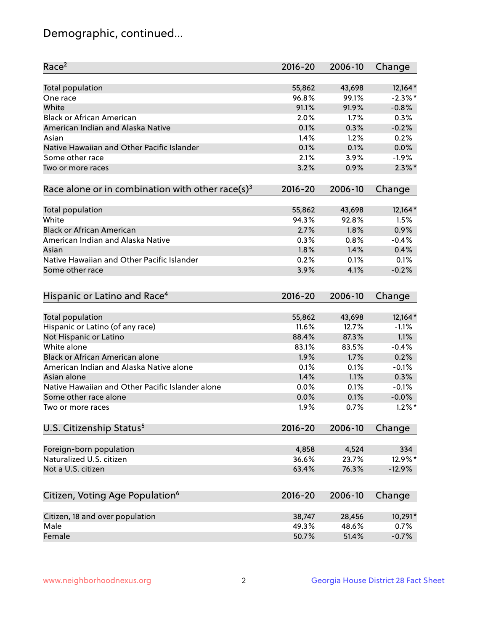## Demographic, continued...

| Race <sup>2</sup>                                            | $2016 - 20$ | 2006-10 | Change    |
|--------------------------------------------------------------|-------------|---------|-----------|
| <b>Total population</b>                                      | 55,862      | 43,698  | $12,164*$ |
| One race                                                     | 96.8%       | 99.1%   | $-2.3%$ * |
| White                                                        | 91.1%       | 91.9%   | $-0.8%$   |
| <b>Black or African American</b>                             | 2.0%        | 1.7%    | 0.3%      |
| American Indian and Alaska Native                            | 0.1%        | 0.3%    | $-0.2%$   |
| Asian                                                        | 1.4%        | 1.2%    | 0.2%      |
| Native Hawaiian and Other Pacific Islander                   | 0.1%        | 0.1%    | 0.0%      |
| Some other race                                              | 2.1%        | 3.9%    | $-1.9%$   |
| Two or more races                                            | 3.2%        | 0.9%    | $2.3\%$ * |
| Race alone or in combination with other race(s) <sup>3</sup> | $2016 - 20$ | 2006-10 | Change    |
|                                                              |             |         |           |
| Total population                                             | 55,862      | 43,698  | $12,164*$ |
| White                                                        | 94.3%       | 92.8%   | 1.5%      |
| <b>Black or African American</b>                             | 2.7%        | 1.8%    | 0.9%      |
| American Indian and Alaska Native                            | 0.3%        | 0.8%    | $-0.4%$   |
| Asian                                                        | 1.8%        | 1.4%    | 0.4%      |
| Native Hawaiian and Other Pacific Islander                   | 0.2%        | 0.1%    | 0.1%      |
| Some other race                                              | 3.9%        | 4.1%    | $-0.2%$   |
|                                                              | $2016 - 20$ | 2006-10 |           |
| Hispanic or Latino and Race <sup>4</sup>                     |             |         | Change    |
| <b>Total population</b>                                      | 55,862      | 43,698  | $12,164*$ |
| Hispanic or Latino (of any race)                             | 11.6%       | 12.7%   | $-1.1%$   |
| Not Hispanic or Latino                                       | 88.4%       | 87.3%   | 1.1%      |
| White alone                                                  | 83.1%       | 83.5%   | $-0.4%$   |
| <b>Black or African American alone</b>                       | 1.9%        | 1.7%    | 0.2%      |
| American Indian and Alaska Native alone                      | 0.1%        | 0.1%    | $-0.1%$   |
| Asian alone                                                  | 1.4%        | 1.1%    | 0.3%      |
| Native Hawaiian and Other Pacific Islander alone             | 0.0%        | 0.1%    | $-0.1%$   |
| Some other race alone                                        | 0.0%        | 0.1%    | $-0.0%$   |
| Two or more races                                            | 1.9%        | 0.7%    | $1.2\%$ * |
| U.S. Citizenship Status <sup>5</sup>                         | $2016 - 20$ | 2006-10 | Change    |
|                                                              |             |         |           |
| Foreign-born population                                      | 4,858       | 4,524   | 334       |
| Naturalized U.S. citizen                                     | 36.6%       | 23.7%   | 12.9%*    |
| Not a U.S. citizen                                           | 63.4%       | 76.3%   | $-12.9%$  |
|                                                              |             |         |           |
| Citizen, Voting Age Population <sup>6</sup>                  | $2016 - 20$ | 2006-10 | Change    |
| Citizen, 18 and over population                              | 38,747      | 28,456  | 10,291*   |
| Male                                                         | 49.3%       | 48.6%   | 0.7%      |
| Female                                                       | 50.7%       | 51.4%   | $-0.7%$   |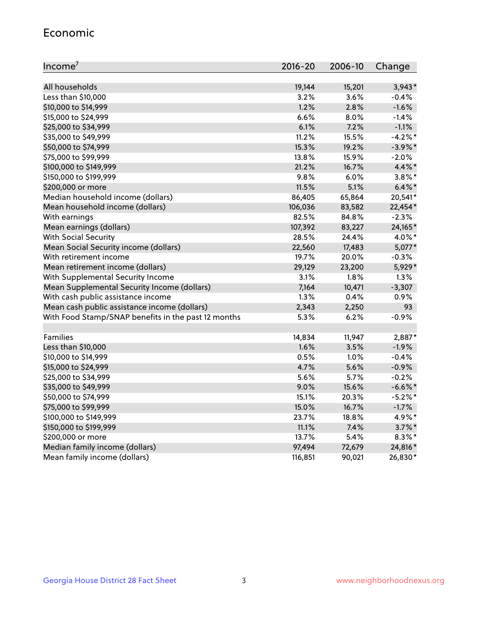#### Economic

| Income <sup>7</sup>                                 | 2016-20 | 2006-10 | Change     |
|-----------------------------------------------------|---------|---------|------------|
|                                                     |         |         |            |
| All households                                      | 19,144  | 15,201  | $3,943*$   |
| Less than \$10,000                                  | 3.2%    | 3.6%    | $-0.4%$    |
| \$10,000 to \$14,999                                | 1.2%    | 2.8%    | $-1.6%$    |
| \$15,000 to \$24,999                                | 6.6%    | 8.0%    | $-1.4%$    |
| \$25,000 to \$34,999                                | 6.1%    | 7.2%    | $-1.1%$    |
| \$35,000 to \$49,999                                | 11.2%   | 15.5%   | $-4.2%$ *  |
| \$50,000 to \$74,999                                | 15.3%   | 19.2%   | $-3.9\%$ * |
| \$75,000 to \$99,999                                | 13.8%   | 15.9%   | $-2.0%$    |
| \$100,000 to \$149,999                              | 21.2%   | 16.7%   | 4.4%*      |
| \$150,000 to \$199,999                              | 9.8%    | 6.0%    | $3.8\%$ *  |
| \$200,000 or more                                   | 11.5%   | 5.1%    | $6.4\%$ *  |
| Median household income (dollars)                   | 86,405  | 65,864  | 20,541*    |
| Mean household income (dollars)                     | 106,036 | 83,582  | 22,454*    |
| With earnings                                       | 82.5%   | 84.8%   | $-2.3%$    |
| Mean earnings (dollars)                             | 107,392 | 83,227  | 24,165*    |
| <b>With Social Security</b>                         | 28.5%   | 24.4%   | 4.0%*      |
| Mean Social Security income (dollars)               | 22,560  | 17,483  | $5,077*$   |
| With retirement income                              | 19.7%   | 20.0%   | $-0.3%$    |
| Mean retirement income (dollars)                    | 29,129  | 23,200  | 5,929*     |
| With Supplemental Security Income                   | 3.1%    | 1.8%    | 1.3%       |
| Mean Supplemental Security Income (dollars)         | 7,164   | 10,471  | $-3,307$   |
| With cash public assistance income                  | 1.3%    | 0.4%    | 0.9%       |
| Mean cash public assistance income (dollars)        | 2,343   | 2,250   | 93         |
| With Food Stamp/SNAP benefits in the past 12 months | 5.3%    | 6.2%    | $-0.9%$    |
| Families                                            | 14,834  | 11,947  | 2,887*     |
| Less than \$10,000                                  | 1.6%    | 3.5%    | $-1.9%$    |
| \$10,000 to \$14,999                                | 0.5%    | 1.0%    | $-0.4%$    |
| \$15,000 to \$24,999                                | 4.7%    | 5.6%    | $-0.9%$    |
| \$25,000 to \$34,999                                | 5.6%    | 5.7%    | $-0.2%$    |
| \$35,000 to \$49,999                                | 9.0%    | 15.6%   | $-6.6\%$ * |
| \$50,000 to \$74,999                                | 15.1%   | 20.3%   | $-5.2\%$ * |
| \$75,000 to \$99,999                                | 15.0%   | 16.7%   | $-1.7%$    |
| \$100,000 to \$149,999                              | 23.7%   | 18.8%   | 4.9%*      |
| \$150,000 to \$199,999                              | 11.1%   | 7.4%    | $3.7\%$ *  |
| \$200,000 or more                                   | 13.7%   | 5.4%    | $8.3\%$ *  |
| Median family income (dollars)                      | 97,494  | 72,679  | 24,816*    |
| Mean family income (dollars)                        | 116,851 | 90,021  | 26,830*    |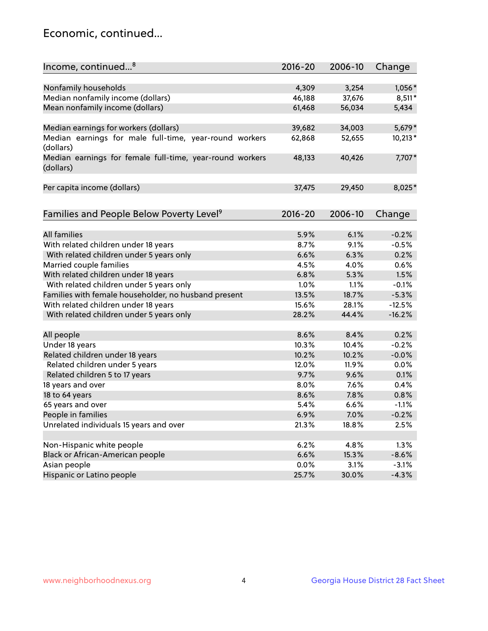## Economic, continued...

| Income, continued <sup>8</sup>                           | 2016-20 | 2006-10 | Change    |
|----------------------------------------------------------|---------|---------|-----------|
|                                                          |         |         |           |
| Nonfamily households                                     | 4,309   | 3,254   | 1,056*    |
| Median nonfamily income (dollars)                        | 46,188  | 37,676  | 8,511*    |
| Mean nonfamily income (dollars)                          | 61,468  | 56,034  | 5,434     |
|                                                          |         |         |           |
| Median earnings for workers (dollars)                    | 39,682  | 34,003  | 5,679*    |
| Median earnings for male full-time, year-round workers   | 62,868  | 52,655  | $10,213*$ |
| (dollars)                                                |         |         |           |
| Median earnings for female full-time, year-round workers | 48,133  | 40,426  | 7,707*    |
| (dollars)                                                |         |         |           |
|                                                          |         |         |           |
| Per capita income (dollars)                              | 37,475  | 29,450  | 8,025*    |
|                                                          |         |         |           |
| Families and People Below Poverty Level <sup>9</sup>     | 2016-20 | 2006-10 | Change    |
|                                                          |         |         |           |
| <b>All families</b>                                      | 5.9%    | 6.1%    | $-0.2%$   |
| With related children under 18 years                     | 8.7%    | 9.1%    | $-0.5%$   |
| With related children under 5 years only                 | 6.6%    | 6.3%    | 0.2%      |
| Married couple families                                  | 4.5%    | 4.0%    | 0.6%      |
| With related children under 18 years                     | 6.8%    | 5.3%    | 1.5%      |
| With related children under 5 years only                 | 1.0%    | 1.1%    | $-0.1%$   |
| Families with female householder, no husband present     | 13.5%   | 18.7%   | $-5.3%$   |
| With related children under 18 years                     | 15.6%   | 28.1%   | $-12.5%$  |
| With related children under 5 years only                 | 28.2%   | 44.4%   | $-16.2%$  |
|                                                          |         |         |           |
| All people                                               | 8.6%    | 8.4%    | 0.2%      |
| Under 18 years                                           | 10.3%   | 10.4%   | $-0.2%$   |
| Related children under 18 years                          | 10.2%   | 10.2%   | $-0.0%$   |
| Related children under 5 years                           | 12.0%   | 11.9%   | 0.0%      |
| Related children 5 to 17 years                           | 9.7%    | 9.6%    | 0.1%      |
| 18 years and over                                        | 8.0%    | 7.6%    | 0.4%      |
| 18 to 64 years                                           | 8.6%    | 7.8%    | 0.8%      |
| 65 years and over                                        | 5.4%    | 6.6%    | $-1.1%$   |
| People in families                                       | 6.9%    | 7.0%    | $-0.2%$   |
| Unrelated individuals 15 years and over                  | 21.3%   | 18.8%   | 2.5%      |
|                                                          |         |         |           |
| Non-Hispanic white people                                | 6.2%    | 4.8%    | 1.3%      |
| Black or African-American people                         | 6.6%    | 15.3%   | $-8.6%$   |
| Asian people                                             | 0.0%    | 3.1%    | $-3.1%$   |
| Hispanic or Latino people                                | 25.7%   | 30.0%   | $-4.3%$   |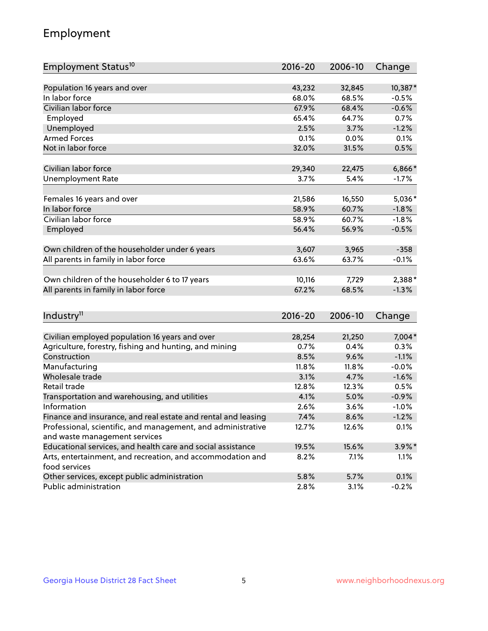## Employment

| Employment Status <sup>10</sup>                                             | $2016 - 20$ | 2006-10 | Change    |
|-----------------------------------------------------------------------------|-------------|---------|-----------|
|                                                                             |             |         |           |
| Population 16 years and over                                                | 43,232      | 32,845  | 10,387*   |
| In labor force                                                              | 68.0%       | 68.5%   | $-0.5%$   |
| Civilian labor force                                                        | 67.9%       | 68.4%   | $-0.6%$   |
| Employed                                                                    | 65.4%       | 64.7%   | 0.7%      |
| Unemployed                                                                  | 2.5%        | 3.7%    | $-1.2%$   |
| <b>Armed Forces</b>                                                         | 0.1%        | 0.0%    | 0.1%      |
| Not in labor force                                                          | 32.0%       | 31.5%   | 0.5%      |
| Civilian labor force                                                        | 29,340      | 22,475  | 6,866*    |
| <b>Unemployment Rate</b>                                                    | 3.7%        | 5.4%    | $-1.7%$   |
|                                                                             |             |         |           |
| Females 16 years and over                                                   | 21,586      | 16,550  | 5,036*    |
| In labor force                                                              | 58.9%       | 60.7%   | $-1.8%$   |
| Civilian labor force                                                        | 58.9%       | 60.7%   | $-1.8%$   |
| Employed                                                                    | 56.4%       | 56.9%   | $-0.5%$   |
|                                                                             |             |         |           |
| Own children of the householder under 6 years                               | 3,607       | 3,965   | $-358$    |
| All parents in family in labor force                                        | 63.6%       | 63.7%   | $-0.1%$   |
|                                                                             |             |         |           |
| Own children of the householder 6 to 17 years                               | 10,116      | 7,729   | 2,388*    |
| All parents in family in labor force                                        | 67.2%       | 68.5%   | $-1.3%$   |
|                                                                             |             |         |           |
| Industry <sup>11</sup>                                                      | $2016 - 20$ | 2006-10 | Change    |
|                                                                             |             |         |           |
| Civilian employed population 16 years and over                              | 28,254      | 21,250  | 7,004*    |
| Agriculture, forestry, fishing and hunting, and mining                      | 0.7%        | 0.4%    | 0.3%      |
| Construction                                                                | 8.5%        | 9.6%    | $-1.1%$   |
| Manufacturing                                                               | 11.8%       | 11.8%   | $-0.0%$   |
| Wholesale trade                                                             | 3.1%        | 4.7%    | $-1.6%$   |
| Retail trade                                                                | 12.8%       | 12.3%   | 0.5%      |
| Transportation and warehousing, and utilities                               | 4.1%        | 5.0%    | $-0.9%$   |
| Information                                                                 | 2.6%        | 3.6%    | $-1.0%$   |
| Finance and insurance, and real estate and rental and leasing               | 7.4%        | 8.6%    | $-1.2%$   |
| Professional, scientific, and management, and administrative                | 12.7%       | 12.6%   | 0.1%      |
| and waste management services                                               |             |         |           |
| Educational services, and health care and social assistance                 | 19.5%       | 15.6%   | $3.9\%$ * |
| Arts, entertainment, and recreation, and accommodation and<br>food services | 8.2%        | 7.1%    | 1.1%      |
| Other services, except public administration                                | 5.8%        | 5.7%    | 0.1%      |
| Public administration                                                       | 2.8%        | 3.1%    | $-0.2%$   |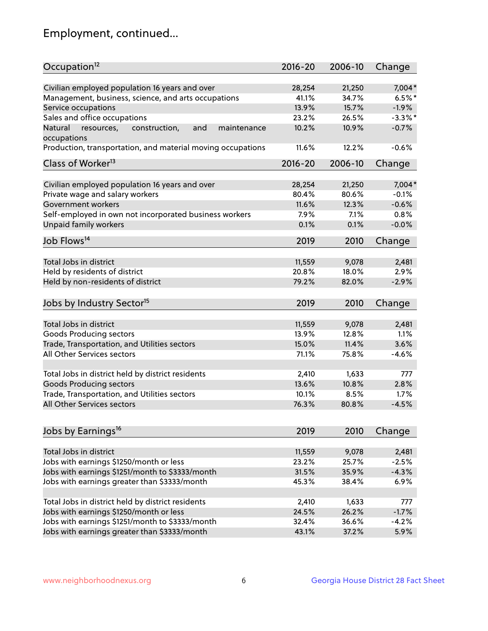## Employment, continued...

| Occupation <sup>12</sup>                                     | $2016 - 20$ | 2006-10 | Change     |
|--------------------------------------------------------------|-------------|---------|------------|
| Civilian employed population 16 years and over               | 28,254      | 21,250  | 7,004*     |
| Management, business, science, and arts occupations          | 41.1%       | 34.7%   | $6.5%$ *   |
| Service occupations                                          | 13.9%       | 15.7%   | $-1.9%$    |
| Sales and office occupations                                 | 23.2%       | 26.5%   | $-3.3\%$ * |
| Natural<br>and<br>resources,<br>construction,<br>maintenance | 10.2%       | 10.9%   | $-0.7%$    |
| occupations                                                  |             |         |            |
| Production, transportation, and material moving occupations  | 11.6%       | 12.2%   | $-0.6%$    |
| Class of Worker <sup>13</sup>                                | $2016 - 20$ | 2006-10 | Change     |
| Civilian employed population 16 years and over               | 28,254      | 21,250  | 7,004*     |
| Private wage and salary workers                              | 80.4%       | 80.6%   | $-0.1%$    |
|                                                              |             | 12.3%   | $-0.6%$    |
| Government workers                                           | 11.6%       |         |            |
| Self-employed in own not incorporated business workers       | 7.9%        | 7.1%    | 0.8%       |
| Unpaid family workers                                        | 0.1%        | 0.1%    | $-0.0%$    |
| Job Flows <sup>14</sup>                                      | 2019        | 2010    | Change     |
|                                                              |             |         |            |
| Total Jobs in district                                       | 11,559      | 9,078   | 2,481      |
| Held by residents of district                                | 20.8%       | 18.0%   | 2.9%       |
| Held by non-residents of district                            | 79.2%       | 82.0%   | $-2.9%$    |
| Jobs by Industry Sector <sup>15</sup>                        | 2019        | 2010    | Change     |
| Total Jobs in district                                       | 11,559      | 9,078   | 2,481      |
|                                                              |             |         |            |
| Goods Producing sectors                                      | 13.9%       | 12.8%   | 1.1%       |
| Trade, Transportation, and Utilities sectors                 | 15.0%       | 11.4%   | 3.6%       |
| All Other Services sectors                                   | 71.1%       | 75.8%   | $-4.6%$    |
| Total Jobs in district held by district residents            | 2,410       | 1,633   | 777        |
| <b>Goods Producing sectors</b>                               | 13.6%       | 10.8%   | 2.8%       |
| Trade, Transportation, and Utilities sectors                 | 10.1%       | 8.5%    | 1.7%       |
| All Other Services sectors                                   | 76.3%       | 80.8%   | $-4.5%$    |
|                                                              |             |         |            |
| Jobs by Earnings <sup>16</sup>                               | 2019        | 2010    | Change     |
|                                                              |             |         |            |
| Total Jobs in district                                       | 11,559      | 9,078   | 2,481      |
| Jobs with earnings \$1250/month or less                      | 23.2%       | 25.7%   | $-2.5%$    |
| Jobs with earnings \$1251/month to \$3333/month              | 31.5%       | 35.9%   | $-4.3%$    |
| Jobs with earnings greater than \$3333/month                 | 45.3%       | 38.4%   | 6.9%       |
| Total Jobs in district held by district residents            | 2,410       | 1,633   | 777        |
| Jobs with earnings \$1250/month or less                      | 24.5%       | 26.2%   | $-1.7%$    |
| Jobs with earnings \$1251/month to \$3333/month              | 32.4%       | 36.6%   | $-4.2%$    |
| Jobs with earnings greater than \$3333/month                 | 43.1%       | 37.2%   | 5.9%       |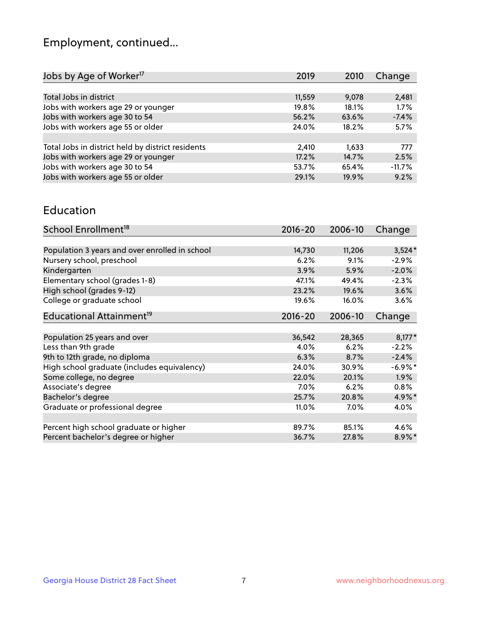## Employment, continued...

| Jobs by Age of Worker <sup>17</sup>               | 2019   | 2010  | Change   |
|---------------------------------------------------|--------|-------|----------|
|                                                   |        |       |          |
| Total Jobs in district                            | 11,559 | 9,078 | 2,481    |
| Jobs with workers age 29 or younger               | 19.8%  | 18.1% | 1.7%     |
| Jobs with workers age 30 to 54                    | 56.2%  | 63.6% | $-7.4%$  |
| Jobs with workers age 55 or older                 | 24.0%  | 18.2% | 5.7%     |
|                                                   |        |       |          |
| Total Jobs in district held by district residents | 2,410  | 1,633 | 777      |
| Jobs with workers age 29 or younger               | 17.2%  | 14.7% | 2.5%     |
| Jobs with workers age 30 to 54                    | 53.7%  | 65.4% | $-11.7%$ |
| Jobs with workers age 55 or older                 | 29.1%  | 19.9% | 9.2%     |
|                                                   |        |       |          |

#### Education

| School Enrollment <sup>18</sup>                | $2016 - 20$ | 2006-10 | Change     |
|------------------------------------------------|-------------|---------|------------|
|                                                |             |         |            |
| Population 3 years and over enrolled in school | 14,730      | 11,206  | $3,524*$   |
| Nursery school, preschool                      | 6.2%        | 9.1%    | $-2.9%$    |
| Kindergarten                                   | 3.9%        | 5.9%    | $-2.0%$    |
| Elementary school (grades 1-8)                 | 47.1%       | 49.4%   | $-2.3%$    |
| High school (grades 9-12)                      | 23.2%       | 19.6%   | 3.6%       |
| College or graduate school                     | 19.6%       | 16.0%   | 3.6%       |
| Educational Attainment <sup>19</sup>           | $2016 - 20$ | 2006-10 | Change     |
|                                                |             |         |            |
| Population 25 years and over                   | 36,542      | 28,365  | $8,177*$   |
| Less than 9th grade                            | 4.0%        | 6.2%    | $-2.2%$    |
| 9th to 12th grade, no diploma                  | 6.3%        | 8.7%    | $-2.4%$    |
| High school graduate (includes equivalency)    | 24.0%       | 30.9%   | $-6.9\%$ * |
| Some college, no degree                        | 22.0%       | 20.1%   | $1.9\%$    |
| Associate's degree                             | 7.0%        | 6.2%    | 0.8%       |
| Bachelor's degree                              | 25.7%       | 20.8%   | 4.9%*      |
| Graduate or professional degree                | 11.0%       | $7.0\%$ | 4.0%       |
|                                                |             |         |            |
| Percent high school graduate or higher         | 89.7%       | 85.1%   | 4.6%       |
| Percent bachelor's degree or higher            | 36.7%       | 27.8%   | 8.9%*      |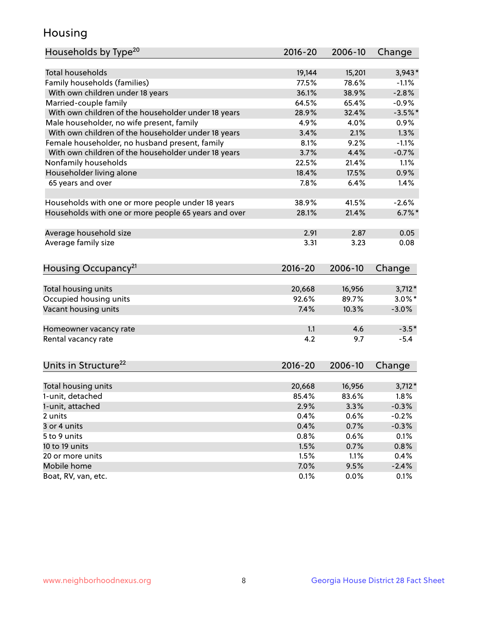## Housing

| Households by Type <sup>20</sup>                     | 2016-20     | 2006-10 | Change    |
|------------------------------------------------------|-------------|---------|-----------|
|                                                      |             |         |           |
| <b>Total households</b>                              | 19,144      | 15,201  | $3,943*$  |
| Family households (families)                         | 77.5%       | 78.6%   | $-1.1%$   |
| With own children under 18 years                     | 36.1%       | 38.9%   | $-2.8%$   |
| Married-couple family                                | 64.5%       | 65.4%   | $-0.9%$   |
| With own children of the householder under 18 years  | 28.9%       | 32.4%   | $-3.5%$ * |
| Male householder, no wife present, family            | 4.9%        | 4.0%    | 0.9%      |
| With own children of the householder under 18 years  | 3.4%        | 2.1%    | 1.3%      |
| Female householder, no husband present, family       | 8.1%        | 9.2%    | $-1.1%$   |
| With own children of the householder under 18 years  | 3.7%        | 4.4%    | $-0.7%$   |
| Nonfamily households                                 | 22.5%       | 21.4%   | 1.1%      |
| Householder living alone                             | 18.4%       | 17.5%   | 0.9%      |
| 65 years and over                                    | 7.8%        | 6.4%    | 1.4%      |
|                                                      |             |         |           |
| Households with one or more people under 18 years    | 38.9%       | 41.5%   | $-2.6%$   |
| Households with one or more people 65 years and over | 28.1%       | 21.4%   | $6.7\%$ * |
|                                                      |             |         |           |
| Average household size                               | 2.91        | 2.87    | 0.05      |
| Average family size                                  | 3.31        | 3.23    | 0.08      |
|                                                      |             |         |           |
| Housing Occupancy <sup>21</sup>                      | 2016-20     | 2006-10 | Change    |
|                                                      |             |         |           |
| Total housing units                                  | 20,668      | 16,956  | $3,712*$  |
| Occupied housing units                               | 92.6%       | 89.7%   | $3.0\%$ * |
| Vacant housing units                                 | 7.4%        | 10.3%   | $-3.0%$   |
|                                                      |             |         |           |
| Homeowner vacancy rate                               | 1.1         | 4.6     | $-3.5*$   |
| Rental vacancy rate                                  | 4.2         | 9.7     | $-5.4$    |
|                                                      |             |         |           |
| Units in Structure <sup>22</sup>                     | $2016 - 20$ | 2006-10 |           |
|                                                      |             |         | Change    |
| Total housing units                                  | 20,668      | 16,956  | $3,712*$  |
| 1-unit, detached                                     | 85.4%       | 83.6%   | 1.8%      |
| 1-unit, attached                                     | 2.9%        | 3.3%    | $-0.3%$   |
| 2 units                                              | 0.4%        | 0.6%    | $-0.2%$   |
| 3 or 4 units                                         | 0.4%        | 0.7%    | $-0.3%$   |
| 5 to 9 units                                         | 0.8%        | 0.6%    | 0.1%      |
| 10 to 19 units                                       | 1.5%        | 0.7%    | 0.8%      |
| 20 or more units                                     | 1.5%        | 1.1%    | 0.4%      |
| Mobile home                                          | 7.0%        | 9.5%    | $-2.4%$   |
| Boat, RV, van, etc.                                  | 0.1%        | 0.0%    | 0.1%      |
|                                                      |             |         |           |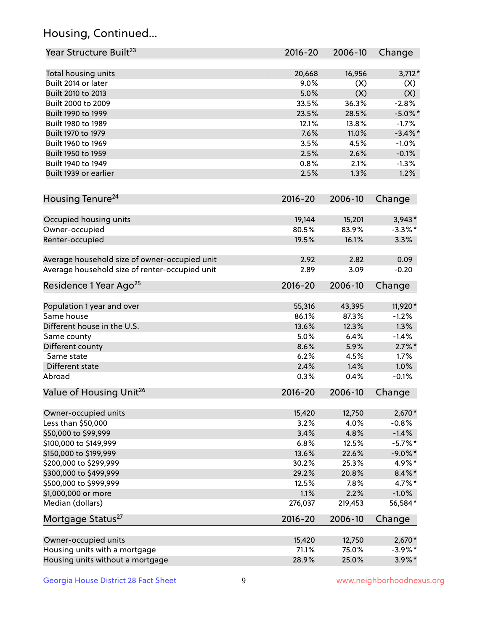## Housing, Continued...

| Year Structure Built <sup>23</sup>             | 2016-20     | 2006-10 | Change     |
|------------------------------------------------|-------------|---------|------------|
| Total housing units                            | 20,668      | 16,956  | $3,712*$   |
| Built 2014 or later                            | 9.0%        | (X)     | (X)        |
| Built 2010 to 2013                             | 5.0%        | (X)     | (X)        |
| Built 2000 to 2009                             | 33.5%       | 36.3%   | $-2.8%$    |
| Built 1990 to 1999                             | 23.5%       | 28.5%   | $-5.0\%$ * |
| Built 1980 to 1989                             | 12.1%       | 13.8%   | $-1.7%$    |
| Built 1970 to 1979                             | 7.6%        | 11.0%   | $-3.4\%$ * |
| Built 1960 to 1969                             | 3.5%        | 4.5%    | $-1.0%$    |
| Built 1950 to 1959                             | 2.5%        | 2.6%    | $-0.1%$    |
| Built 1940 to 1949                             | 0.8%        | 2.1%    | $-1.3%$    |
| Built 1939 or earlier                          | 2.5%        | 1.3%    | 1.2%       |
| Housing Tenure <sup>24</sup>                   | $2016 - 20$ | 2006-10 | Change     |
|                                                |             |         |            |
| Occupied housing units                         | 19,144      | 15,201  | $3,943*$   |
| Owner-occupied                                 | 80.5%       | 83.9%   | $-3.3\%$ * |
| Renter-occupied                                | 19.5%       | 16.1%   | 3.3%       |
| Average household size of owner-occupied unit  | 2.92        | 2.82    | 0.09       |
| Average household size of renter-occupied unit | 2.89        | 3.09    | $-0.20$    |
| Residence 1 Year Ago <sup>25</sup>             | $2016 - 20$ | 2006-10 | Change     |
| Population 1 year and over                     | 55,316      | 43,395  | 11,920*    |
| Same house                                     | 86.1%       | 87.3%   | $-1.2%$    |
| Different house in the U.S.                    | 13.6%       | 12.3%   | 1.3%       |
| Same county                                    | 5.0%        | 6.4%    | $-1.4%$    |
| Different county                               | 8.6%        | 5.9%    | $2.7\%$ *  |
| Same state                                     | 6.2%        | 4.5%    | 1.7%       |
| Different state                                | 2.4%        | 1.4%    | 1.0%       |
| Abroad                                         | 0.3%        | 0.4%    | $-0.1%$    |
| Value of Housing Unit <sup>26</sup>            | $2016 - 20$ | 2006-10 | Change     |
|                                                |             |         |            |
| Owner-occupied units                           | 15,420      | 12,750  | $2,670*$   |
| Less than \$50,000                             | 3.2%        | 4.0%    | $-0.8%$    |
| \$50,000 to \$99,999                           | 3.4%        | 4.8%    | $-1.4%$    |
| \$100,000 to \$149,999                         | 6.8%        | 12.5%   | $-5.7%$ *  |
| \$150,000 to \$199,999                         | 13.6%       | 22.6%   | $-9.0\%$ * |
| \$200,000 to \$299,999                         | 30.2%       | 25.3%   | 4.9%*      |
| \$300,000 to \$499,999                         | 29.2%       | 20.8%   | $8.4\% *$  |
| \$500,000 to \$999,999                         | 12.5%       | 7.8%    | $4.7\%$ *  |
| \$1,000,000 or more                            | 1.1%        | 2.2%    | $-1.0%$    |
| Median (dollars)                               | 276,037     | 219,453 | 56,584*    |
| Mortgage Status <sup>27</sup>                  | $2016 - 20$ | 2006-10 | Change     |
| Owner-occupied units                           | 15,420      | 12,750  | $2,670*$   |
| Housing units with a mortgage                  | 71.1%       | 75.0%   | $-3.9\%$ * |
| Housing units without a mortgage               | 28.9%       | 25.0%   | $3.9\%$ *  |
|                                                |             |         |            |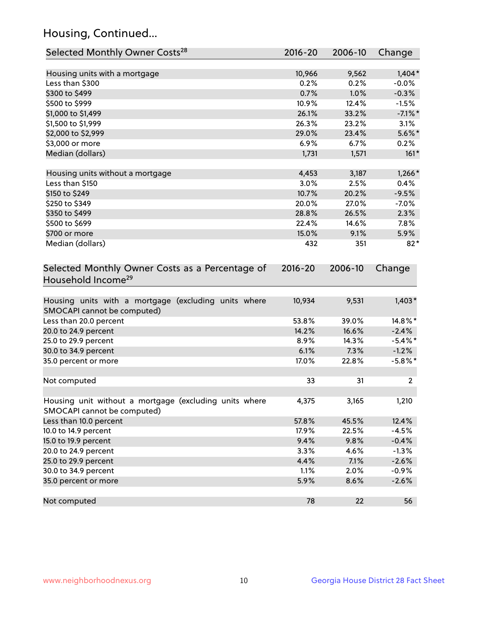## Housing, Continued...

| Selected Monthly Owner Costs <sup>28</sup>                                            | 2016-20     | 2006-10 | Change     |
|---------------------------------------------------------------------------------------|-------------|---------|------------|
| Housing units with a mortgage                                                         | 10,966      | 9,562   | $1,404*$   |
| Less than \$300                                                                       | 0.2%        | 0.2%    | $-0.0%$    |
| \$300 to \$499                                                                        | 0.7%        | 1.0%    | $-0.3%$    |
| \$500 to \$999                                                                        | 10.9%       | 12.4%   | $-1.5%$    |
| \$1,000 to \$1,499                                                                    | 26.1%       | 33.2%   | $-7.1\%$ * |
| \$1,500 to \$1,999                                                                    | 26.3%       | 23.2%   | 3.1%       |
| \$2,000 to \$2,999                                                                    | 29.0%       | 23.4%   | $5.6\%$ *  |
| \$3,000 or more                                                                       | 6.9%        | 6.7%    | 0.2%       |
| Median (dollars)                                                                      | 1,731       | 1,571   | $161*$     |
| Housing units without a mortgage                                                      | 4,453       | 3,187   | $1,266*$   |
| Less than \$150                                                                       | 3.0%        | 2.5%    | 0.4%       |
| \$150 to \$249                                                                        | 10.7%       | 20.2%   | $-9.5%$    |
| \$250 to \$349                                                                        | 20.0%       | 27.0%   | $-7.0%$    |
| \$350 to \$499                                                                        | 28.8%       | 26.5%   | 2.3%       |
| \$500 to \$699                                                                        | 22.4%       | 14.6%   | 7.8%       |
| \$700 or more                                                                         | 15.0%       | 9.1%    | 5.9%       |
| Median (dollars)                                                                      | 432         | 351     | $82*$      |
| Selected Monthly Owner Costs as a Percentage of<br>Household Income <sup>29</sup>     | $2016 - 20$ | 2006-10 | Change     |
| Housing units with a mortgage (excluding units where<br>SMOCAPI cannot be computed)   | 10,934      | 9,531   | $1,403*$   |
| Less than 20.0 percent                                                                | 53.8%       | 39.0%   | 14.8%*     |
| 20.0 to 24.9 percent                                                                  | 14.2%       | 16.6%   | $-2.4%$    |
| 25.0 to 29.9 percent                                                                  | 8.9%        | 14.3%   | $-5.4\%$ * |
| 30.0 to 34.9 percent                                                                  | 6.1%        | 7.3%    | $-1.2%$    |
| 35.0 percent or more                                                                  | 17.0%       | 22.8%   | $-5.8\%$ * |
| Not computed                                                                          | 33          | 31      | 2          |
| Housing unit without a mortgage (excluding units where<br>SMOCAPI cannot be computed) | 4,375       | 3,165   | 1,210      |
| Less than 10.0 percent                                                                | 57.8%       | 45.5%   | 12.4%      |
| 10.0 to 14.9 percent                                                                  | 17.9%       | 22.5%   | $-4.5%$    |
| 15.0 to 19.9 percent                                                                  | 9.4%        | 9.8%    | $-0.4%$    |
| 20.0 to 24.9 percent                                                                  | 3.3%        | 4.6%    | $-1.3%$    |
| 25.0 to 29.9 percent                                                                  | 4.4%        | 7.1%    | $-2.6%$    |
| 30.0 to 34.9 percent                                                                  | 1.1%        | 2.0%    | $-0.9%$    |
| 35.0 percent or more                                                                  | 5.9%        | 8.6%    | $-2.6%$    |
| Not computed                                                                          | 78          | 22      | 56         |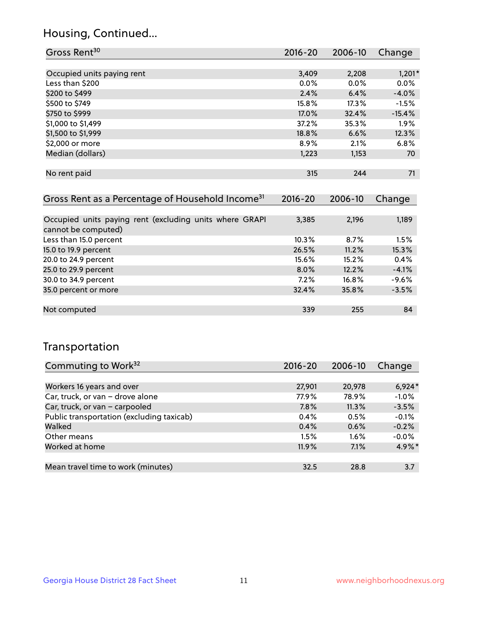## Housing, Continued...

| Gross Rent <sup>30</sup>   | 2016-20 | 2006-10 | Change   |
|----------------------------|---------|---------|----------|
|                            |         |         |          |
| Occupied units paying rent | 3,409   | 2,208   | $1,201*$ |
| Less than \$200            | 0.0%    | $0.0\%$ | 0.0%     |
| \$200 to \$499             | 2.4%    | 6.4%    | $-4.0%$  |
| \$500 to \$749             | 15.8%   | 17.3%   | $-1.5%$  |
| \$750 to \$999             | 17.0%   | 32.4%   | $-15.4%$ |
| \$1,000 to \$1,499         | 37.2%   | 35.3%   | 1.9%     |
| \$1,500 to \$1,999         | 18.8%   | 6.6%    | 12.3%    |
| \$2,000 or more            | 8.9%    | 2.1%    | 6.8%     |
| Median (dollars)           | 1,223   | 1,153   | 70       |
|                            |         |         |          |
| No rent paid               | 315     | 244     | 71       |

| Gross Rent as a Percentage of Household Income <sup>31</sup>                   | $2016 - 20$ | 2006-10 | Change  |
|--------------------------------------------------------------------------------|-------------|---------|---------|
|                                                                                |             |         |         |
| Occupied units paying rent (excluding units where GRAPI<br>cannot be computed) | 3,385       | 2,196   | 1,189   |
| Less than 15.0 percent                                                         | 10.3%       | 8.7%    | 1.5%    |
| 15.0 to 19.9 percent                                                           | 26.5%       | 11.2%   | 15.3%   |
| 20.0 to 24.9 percent                                                           | 15.6%       | 15.2%   | 0.4%    |
| 25.0 to 29.9 percent                                                           | 8.0%        | 12.2%   | $-4.1%$ |
| 30.0 to 34.9 percent                                                           | 7.2%        | 16.8%   | $-9.6%$ |
| 35.0 percent or more                                                           | 32.4%       | 35.8%   | $-3.5%$ |
|                                                                                |             |         |         |
| Not computed                                                                   | 339         | 255     | 84      |

## Transportation

| Commuting to Work <sup>32</sup>           | 2016-20 | 2006-10 | Change   |
|-------------------------------------------|---------|---------|----------|
|                                           |         |         |          |
| Workers 16 years and over                 | 27,901  | 20,978  | $6,924*$ |
| Car, truck, or van - drove alone          | 77.9%   | 78.9%   | $-1.0%$  |
| Car, truck, or van - carpooled            | 7.8%    | 11.3%   | $-3.5%$  |
| Public transportation (excluding taxicab) | 0.4%    | 0.5%    | $-0.1%$  |
| Walked                                    | 0.4%    | 0.6%    | $-0.2%$  |
| Other means                               | 1.5%    | $1.6\%$ | $-0.0%$  |
| Worked at home                            | 11.9%   | 7.1%    | 4.9%*    |
|                                           |         |         |          |
| Mean travel time to work (minutes)        | 32.5    | 28.8    | 3.7      |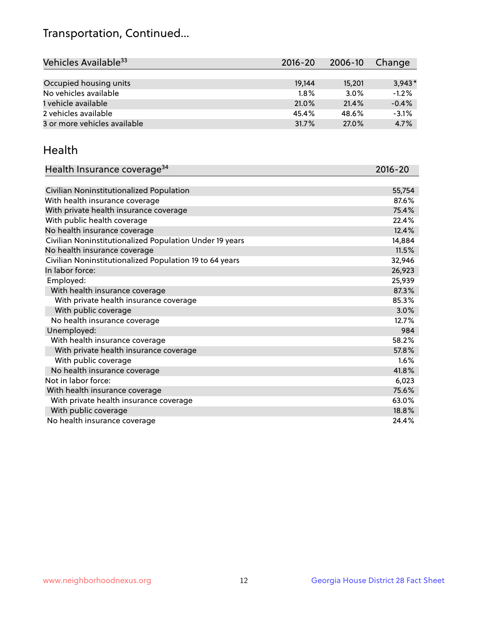## Transportation, Continued...

| Vehicles Available <sup>33</sup> | 2016-20 | 2006-10 | Change   |
|----------------------------------|---------|---------|----------|
|                                  |         |         |          |
| Occupied housing units           | 19,144  | 15,201  | $3.943*$ |
| No vehicles available            | 1.8%    | 3.0%    | $-1.2%$  |
| 1 vehicle available              | 21.0%   | 21.4%   | $-0.4%$  |
| 2 vehicles available             | 45.4%   | 48.6%   | $-3.1%$  |
| 3 or more vehicles available     | 31.7%   | 27.0%   | 4.7%     |

#### Health

| Health Insurance coverage <sup>34</sup>                 | 2016-20 |
|---------------------------------------------------------|---------|
|                                                         |         |
| Civilian Noninstitutionalized Population                | 55,754  |
| With health insurance coverage                          | 87.6%   |
| With private health insurance coverage                  | 75.4%   |
| With public health coverage                             | 22.4%   |
| No health insurance coverage                            | 12.4%   |
| Civilian Noninstitutionalized Population Under 19 years | 14,884  |
| No health insurance coverage                            | 11.5%   |
| Civilian Noninstitutionalized Population 19 to 64 years | 32,946  |
| In labor force:                                         | 26,923  |
| Employed:                                               | 25,939  |
| With health insurance coverage                          | 87.3%   |
| With private health insurance coverage                  | 85.3%   |
| With public coverage                                    | 3.0%    |
| No health insurance coverage                            | 12.7%   |
| Unemployed:                                             | 984     |
| With health insurance coverage                          | 58.2%   |
| With private health insurance coverage                  | 57.8%   |
| With public coverage                                    | 1.6%    |
| No health insurance coverage                            | 41.8%   |
| Not in labor force:                                     | 6,023   |
| With health insurance coverage                          | 75.6%   |
| With private health insurance coverage                  | 63.0%   |
| With public coverage                                    | 18.8%   |
| No health insurance coverage                            | 24.4%   |